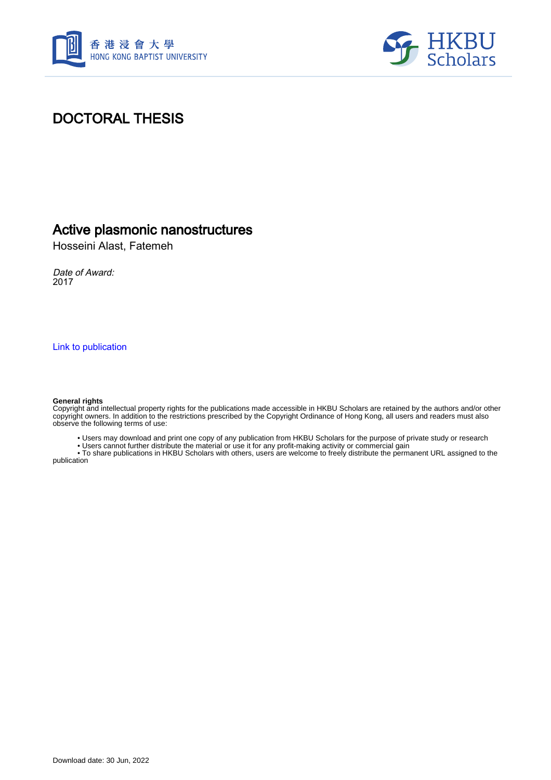



# DOCTORAL THESIS

## Active plasmonic nanostructures

Hosseini Alast, Fatemeh

Date of Award: 2017

[Link to publication](https://scholars.hkbu.edu.hk/en/studentTheses/f2ca88d1-499d-4176-943d-4c6b407ef92a)

#### **General rights**

Copyright and intellectual property rights for the publications made accessible in HKBU Scholars are retained by the authors and/or other copyright owners. In addition to the restrictions prescribed by the Copyright Ordinance of Hong Kong, all users and readers must also observe the following terms of use:

• Users may download and print one copy of any publication from HKBU Scholars for the purpose of private study or research

• Users cannot further distribute the material or use it for any profit-making activity or commercial gain

 • To share publications in HKBU Scholars with others, users are welcome to freely distribute the permanent URL assigned to the publication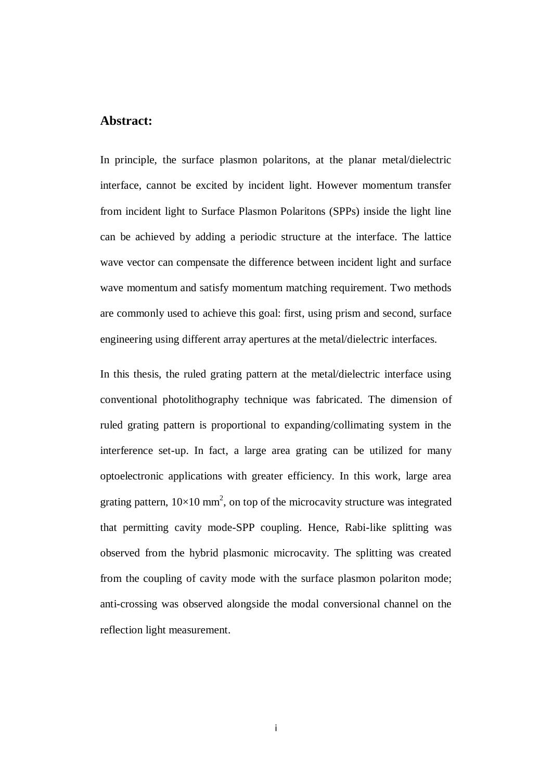### <span id="page-1-0"></span>**Abstract:**

In principle, the surface plasmon polaritons, at the planar metal/dielectric interface, cannot be excited by incident light. However momentum transfer from incident light to Surface Plasmon Polaritons (SPPs) inside the light line can be achieved by adding a periodic structure at the interface. The lattice wave vector can compensate the difference between incident light and surface wave momentum and satisfy momentum matching requirement. Two methods are commonly used to achieve this goal: first, using prism and second, surface engineering using different array apertures at the metal/dielectric interfaces.

In this thesis, the ruled grating pattern at the metal/dielectric interface using conventional photolithography technique was fabricated. The dimension of ruled grating pattern is proportional to expanding/collimating system in the interference set-up. In fact, a large area grating can be utilized for many optoelectronic applications with greater efficiency. In this work, large area grating pattern,  $10\times10$  mm<sup>2</sup>, on top of the microcavity structure was integrated that permitting cavity mode-SPP coupling. Hence, Rabi-like splitting was observed from the hybrid plasmonic microcavity. The splitting was created from the coupling of cavity mode with the surface plasmon polariton mode; anti-crossing was observed alongside the modal conversional channel on the reflection light measurement.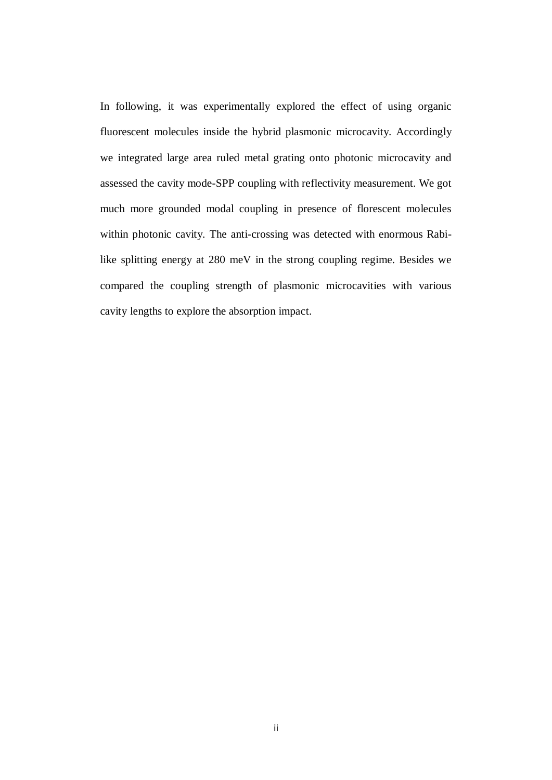In following, it was experimentally explored the effect of using organic fluorescent molecules inside the hybrid plasmonic microcavity. Accordingly we integrated large area ruled metal grating onto photonic microcavity and assessed the cavity mode-SPP coupling with reflectivity measurement. We got much more grounded modal coupling in presence of florescent molecules within photonic cavity. The anti-crossing was detected with enormous Rabilike splitting energy at 280 meV in the strong coupling regime. Besides we compared the coupling strength of plasmonic microcavities with various cavity lengths to explore the absorption impact.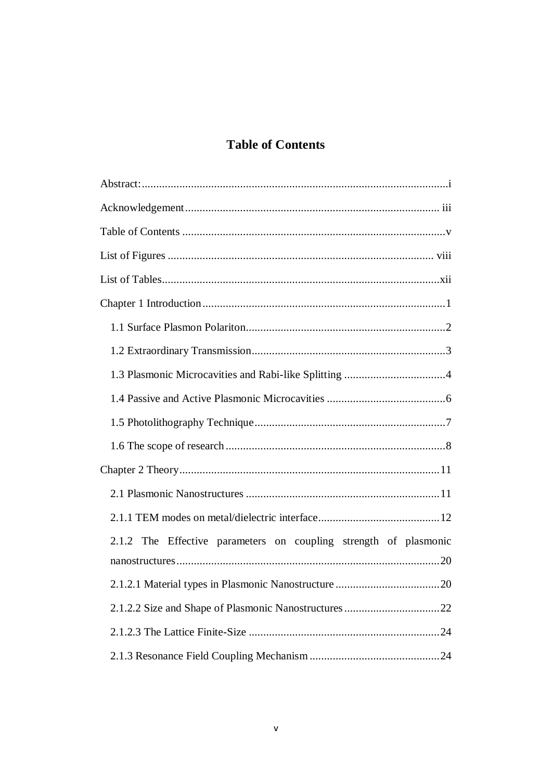## **Table of Contents**

<span id="page-3-0"></span>

| 2.1.2 The Effective parameters on coupling strength of plasmonic |
|------------------------------------------------------------------|
|                                                                  |
|                                                                  |
|                                                                  |
|                                                                  |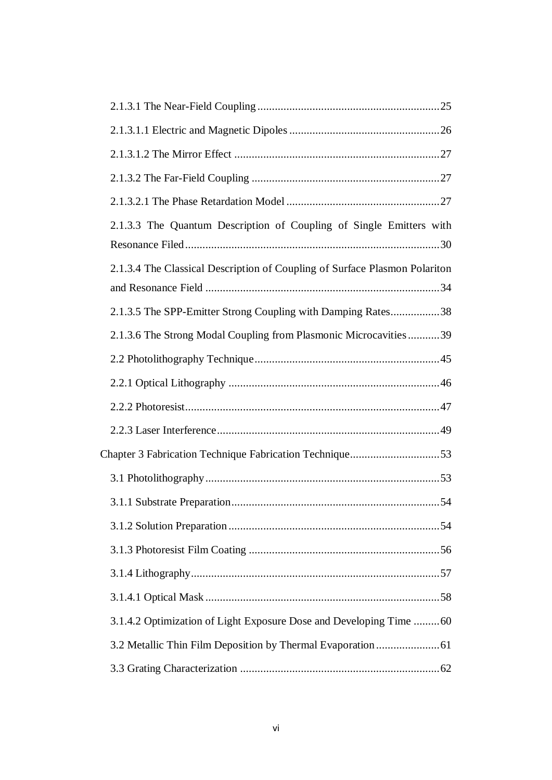| 2.1.3.3 The Quantum Description of Coupling of Single Emitters with        |  |
|----------------------------------------------------------------------------|--|
| 2.1.3.4 The Classical Description of Coupling of Surface Plasmon Polariton |  |
| 2.1.3.5 The SPP-Emitter Strong Coupling with Damping Rates38               |  |
| 2.1.3.6 The Strong Modal Coupling from Plasmonic Microcavities39           |  |
|                                                                            |  |
|                                                                            |  |
|                                                                            |  |
|                                                                            |  |
| Chapter 3 Fabrication Technique Fabrication Technique53                    |  |
|                                                                            |  |
|                                                                            |  |
|                                                                            |  |
|                                                                            |  |
|                                                                            |  |
|                                                                            |  |
| 3.1.4.2 Optimization of Light Exposure Dose and Developing Time 60         |  |
|                                                                            |  |
|                                                                            |  |